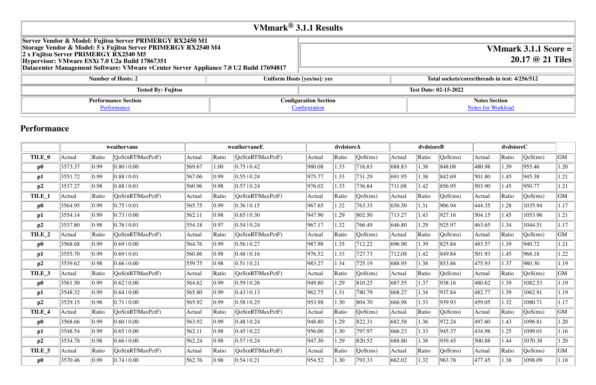# **VMmark® 3.1.1 Results**

| Server Vendor & Model: Fujitsu Server PRIMERGY RX2450 M1<br>Storage Vendor & Model: 5 x Fujitsu Server PRIMERGY RX2540 M4<br>$\ 2 \times$ Fujitsu Server PRIMERGY RX2540 M5<br>Hypervisor: VMware ESXi 7.0 U2a Build 17867351<br>Datacenter Management Software: VMware vCenter Server Appliance 7.0 U2 Build 17694817 |                              |                              |                 |
|------------------------------------------------------------------------------------------------------------------------------------------------------------------------------------------------------------------------------------------------------------------------------------------------------------------------|------------------------------|------------------------------|-----------------|
| <b>Number of Hosts: 2</b>                                                                                                                                                                                                                                                                                              |                              | Uniform Hosts [yes/no]: yes  | Total sockets/c |
| <b>Tested By: Fujitsu</b>                                                                                                                                                                                                                                                                                              |                              | <b>Test Date: 02-15-2022</b> |                 |
| <b>Performance Section</b>                                                                                                                                                                                                                                                                                             | <b>Configuration Section</b> |                              |                 |
| Performance                                                                                                                                                                                                                                                                                                            | Configuration                |                              |                 |

## **VMmark 3.1.1 Score = 20.17 @ 21 Tiles**

#### **Number 12 increads in test: 4/256/512**

**Notes Section** [Notes for Workload](file:///Users/griderr/Documents/ReviewPanel/0222/2022-03-08-Fujitsu_21tiles_disclosure_v3.html#NotesForWorkload)

## **Performance**

|          |         |                | weathervane      |        | weathervaneE |                  |        | dvdstoreA |         | dvdstoreB |       |         |        |       |         |      |
|----------|---------|----------------|------------------|--------|--------------|------------------|--------|-----------|---------|-----------|-------|---------|--------|-------|---------|------|
| TILE_0   | Actual  | Ratio          | QoS(nRTlMaxPctF) | Actual | Ratio        | QoS(nRTIMaxPctF) | Actual | Ratio     | QoS(ms) | Actual    | Ratio | QoS(ms) | Actual | Ratio | QoS(ms) | GM   |
| $\bf p0$ | 3573.37 | $ 0.99\rangle$ | 0.8010.00        | 569.67 | 1.00         | 0.75 0.42        | 980.08 | 1.33      | 716.83  | 688.83    | 1.38  | 848.08  | 480.98 | 1.39  | 955.46  | 1.20 |
| p1       | 3551.72 | 0.99           | 0.8810.01        | 567.06 | 0.99         | 0.5510.24        | 975.77 | 1.33      | 731.29  | 691.95    | 1.38  | 842.69  | 501.80 | 1.45  | 945.38  | 1.21 |
| p2       | 3537.27 | 0.98           | 0.8810.01        | 560.96 | 0.98         | 0.5710.24        | 976.02 | 1.33      | 736.84  | 711.08    | 1.42  | 856.95  | 503.90 | 1.45  | 950.77  | 1.21 |
| TILE_1   | Actual  | Ratio          | QoS(nRTlMaxPctF) | Actual | Ratio        | OoS(nRTIMaxPctF) | Actual | Ratio     | QoS(ms) | Actual    | Ratio | QoS(ms) | Actual | Ratio | QoS(ms) | GM   |
| $\bf p0$ | 3564.95 | $ 0.99\rangle$ | 0.7510.01        | 565.75 | 0.99         | 0.3610.15        | 967.65 | 1.32      | 763.33  | 656.50    | 1.31  | 906.94  | 444.35 | 1.28  | 1035.94 | 1.17 |
| p1       | 3554.14 | $ 0.99\rangle$ | 0.7310.00        | 562.11 | 0.98         | 0.65  0.30       | 947.90 | 1.29      | 802.50  | 713.27    | 1.43  | 927.16  | 504.15 | 1.45  | 1053.96 | 1.21 |
| p2       | 3537.80 | 0.98           | 0.7610.01        | 554.18 | 0.97         | 0.5410.24        | 967.17 | 1.32      | 766.49  | 646.80    | 1.29  | 925.97  | 463.65 | 1.34  | 1044.51 | 1.17 |
| TILE_2   | Actual  | Ratio          | QoS(nRTlMaxPctF) | Actual | Ratio        | QoS(nRTIMaxPctF) | Actual | Ratio     | QoS(ms) | Actual    | Ratio | QoS(ms) | Actual | Ratio | QoS(ms) | GM   |
| $\bf p0$ | 3568.68 | $ 0.99\rangle$ | 0.6910.00        | 564.76 | 0.99         | 0.56 0.27        | 987.98 | 1.35      | 712.22  | 696.90    | 1.39  | 825.84  | 483.57 | 1.39  | 940.72  | 1.21 |
| p1       | 3555.70 | $ 0.99\rangle$ | 0.6910.01        | 560.86 | 0.98         | 0.48 10.16       | 976.52 | 1.33      | 727.73  | 712.08    | 1.42  | 849.84  | 501.93 | 1.45  | 968.18  | 1.22 |
| p2       | 3539.62 | 0.98           | 0.6610.00        | 559.75 | 0.98         | 0.51 0.21        | 983.27 | 1.34      | 725.19  | 688.95    | 1.38  | 853.86  | 475.93 | 1.37  | 980.30  | 1.19 |
| TILE_3   | Actual  | Ratio          | QoS(nRT MaxPctF) | Actual | Ratio        | OoS(nRTIMaxPctF) | Actual | Ratio     | QoS(ms) | Actual    | Ratio | QoS(ms) | Actual | Ratio | QoS(ms) | GM   |
| $\bf p0$ | 3561.50 | $ 0.99\rangle$ | $0.62 \mid 0.00$ | 564.62 | $\ 0.99\ $   | 0.5910.26        | 949.80 | 1.29      | 810.25  | 687.55    | 1.37  | 938.16  | 480.62 | 1.39  | 1082.53 | 1.19 |
| p1       | 3548.32 | $ 0.99\rangle$ | 0.6410.00        | 565.80 | 0.99         | 0.43 10.13       | 962.75 | 1.31      | 780.79  | 668.27    | 1.34  | 937.84  | 482.77 | 1.39  | 1062.91 | 1.19 |
| p2       | 3529.15 | 0.98           | 0.7110.00        | 565.92 | 0.99         | 0.58 0.25        | 953.98 | 1.30      | 804.70  | 666.98    | 1.33  | 939.93  | 459.05 | 1.32  | 1080.71 | 1.17 |
| TILE_4   | Actual  | Ratio          | QoS(nRTlMaxPctF) | Actual | Ratio        | QoS(nRTIMaxPctF) | Actual | Ratio     | QoS(ms) | Actual    | Ratio | QoS(ms) | Actual | Ratio | QoS(ms) | GM   |
| $\bf p0$ | 3568.66 | $ 0.99\rangle$ | 0.6010.00        | 563.92 | 0.99         | 0.48 10.24       | 948.80 | 1.29      | 822.31  | 682.58    | 1.36  | 972.24  | 497.60 | 1.43  | 1096.81 | 1.20 |
| p1       | 3548.54 | $ 0.99\rangle$ | 0.6510.00        | 562.11 | 0.98         | $0.45 \mid 0.22$ | 956.00 | 1.30      | 797.97  | 666.23    | 1.33  | 945.37  | 434.98 | 1.25  | 1099.01 | 1.16 |
| p2       | 3534.78 | 0.98           | 0.6610.00        | 562.24 | 0.98         | 0.5710.24        | 947.30 | 1.29      | 820.52  | 688.80    | 1.38  | 939.45  | 500.88 | 1.44  | 1070.38 | 1.20 |
| TILE_5   | Actual  | Ratio          | QoS(nRTlMaxPctF) | Actual | Ratio        | OoS(nRTlMaxPctF) | Actual | Ratio     | QoS(ms) | Actual    | Ratio | QoS(ms) | Actual | Ratio | QoS(ms) | GM   |
| $\bf p0$ | 3570.46 | 0.99           | 0.7410.00        | 562.76 | 0.98         | 0.54  0.21       | 954.52 | 1.30      | 793.33  | 662.02    | 1.32  | 963.78  | 477.45 | 1.38  | 1098.09 | 1.18 |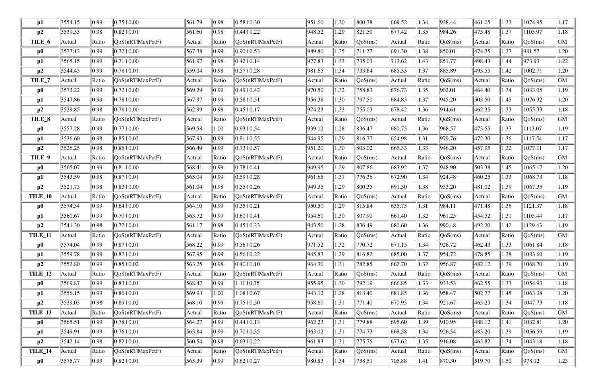| p1             | 3554.15            | 0.99           | 0.7510.00        | 561.79 | $\parallel$ 0.98 | 0.5810.30          | 951.60 | 1.30       | 800.78                           | 669.52 | 1.34  | 938.44                         | 461.05 | .33        | 1074.95                        | 1.17      |
|----------------|--------------------|----------------|------------------|--------|------------------|--------------------|--------|------------|----------------------------------|--------|-------|--------------------------------|--------|------------|--------------------------------|-----------|
| p2             | 3539.35            | 0.98           | 0.8210.01        | 561.60 | $\parallel$ 0.98 | 0.4410.22          | 948.52 | 1.29       | $\ 821.50\ $                     | 677.42 | 1.35  | 984.26                         | 475.48 | 1.37       | 1105.97                        | 1.18      |
| TILE_6         | Actual             | Ratio          | QoS(nRTlMaxPctF) | Actual | Ratio            | QoS(nRTlMaxPctF)   | Actual | Ratio      | $\sqrt{QoS(ms)}$                 | Actual | Ratio | QoS(ms)                        | Actual | Ratio      | $\sqrt{\text{QoS}(\text{ms})}$ | GM        |
| $\bf p0$       | 3577.13            | $ 0.99\rangle$ | 0.7210.00        | 567.38 | $\parallel$ 0.99 | 0.9010.53          | 989.80 | 1.35       | 711.27                           | 691.30 | 1.38  | 850.01                         | 474.75 | 1.37       | 981.57                         | 1.20      |
| $\mathbf{p1}$  | 3565.15            | $ 0.99\rangle$ | 0.7110.00        | 561.97 | $\parallel$ 0.98 | 0.4210.14          | 977.83 | 1.33       | 735.03                           | 713.62 | 1.43  | 851.77                         | 498.43 | .44        | 973.93                         | 1.22      |
| p2             | 3544.43            | $ 0.99\rangle$ | 0.7810.01        | 559.04 | $ 0.98\rangle$   | 0.5710.28          | 981.65 | 1.34       | 733.84                           | 685.33 | 1.37  | 885.89                         | 493.55 | .42        | 1002.71                        | 1.20      |
| TILE_7         | Actual             | Ratio          | QoS(nRTlMaxPctF) | Actual | Ratio            | QoS(nRTlMaxPctF)   | Actual | Ratio      | $\cos(ms)$                       | Actual | Ratio | QoS(ms)                        | Actual | Ratio      | QoS(ms)                        | <b>GM</b> |
| $\bf p0$       | 3573.22            | $ 0.99\rangle$ | 0.7210.00        | 569.29 | $\parallel$ 0.99 | 0.4910.42          | 970.50 | 1.32       | 758.83                           | 676.73 | 1.35  | 902.01                         | 464.40 | .34        | 1033.05                        | 1.19      |
| $\mathbf{p1}$  | 3547.86            | $ 0.99\rangle$ | 0.7810.00        | 567.97 | $\parallel$ 0.99 | 0.5810.51          | 956.38 | 1.30       | 797.50                           | 684.83 | 1.37  | 945.20                         | 503.50 | 1.45       | 1076.32                        | 1.20      |
| p2             | 3529.85            | 0.98           | 0.7810.00        | 562.99 | $\parallel$ 0.98 | 0.45 10.17         | 974.23 | 1.33       | 755.03                           | 678.42 | 1.36  | 914.61                         | 462.35 | .33        | 1055.33                        | 1.18      |
| TILE_8         | Actual             | Ratio          | QoS(nRTlMaxPctF) | Actual | Ratio            | QoS(nRTlMaxPctF)   | Actual | Ratio      | QoS(ms)                          | Actual | Ratio | QoS(ms)                        | Actual | Ratio      | QoS(ms)                        | GM        |
| $\bf p0$       | 3557.28            | $ 0.99\rangle$ | 0.7710.00        | 569.58 | 1.00             | $0.93 \mid 0.54$   | 939.12 | 1.28       | 836.47                           | 680.75 | 1.36  | 968.57                         | 473.55 | 1.37       | 1113.07                        | 1.19      |
| p1             | 3536.60            | 0.98           | 0.8510.02        | 567.93 | 0.99             | $0.91 \, 10.55$    | 944.95 | 1.29       | $\ 816.77$                       | 654.98 | 1.31  | 979.76                         | 472.30 | .36        | 1117.54                        | 1.17      |
| p2             | 3526.25            | 0.98           | 0.8510.01        | 566.49 | $\parallel$ 0.99 | $0.73 \times 0.57$ | 951.20 | 1.30       | 803.02                           | 665.33 | 1.33  | 946.20                         | 457.95 | .32        | 1077.11                        | 1.17      |
| TILE_9         | Actual             | Ratio          | QoS(nRTlMaxPctF) | Actual | Ratio            | QoS(nRTIMaxPctF)   | Actual | Ratio      | $\sqrt{QoS(ms)}$                 | Actual | Ratio | QoS(ms)                        | Actual | Ratio      | QoS(ms)                        | <b>GM</b> |
| $\bf p0$       | 3565.07            | $ 0.99\rangle$ | 0.8110.00        | 568.41 | 0.99             | 0.7810.41          | 949.95 | 1.29       | 807.86                           | 683.92 | 1.37  | 948.90                         | 503.38 | 1.45       | 1065.17                        | 1.20      |
| p1             | 3543.59            | 0.98           | 0.8710.01        | 565.04 | $\parallel$ 0.99 | 0.5910.28          | 961.65 | 1.31       | 776.36                           | 672.90 | 1.34  | 924.48                         | 460.25 | .33        | 1068.73                        | 1.18      |
| p2             | 3521.73            | 0.98           | $0.83 \mid 0.00$ | 561.04 | $\parallel$ 0.98 | 0.5510.26          | 949.35 | 1.29       | 800.35                           | 691.30 | 1.38  | 933.20                         | 481.02 | .39        | 1067.35                        | 1.19      |
| TILE_10        | Actual             | Ratio          | QoS(nRTlMaxPctF) | Actual | Ratio            | QoS(nRTlMaxPctF)   | Actual | Ratio      | $\sqrt{\cos(ms)}$                | Actual | Ratio | $\sqrt{QoS(ms)}$               | Actual | Ratio      | $\sqrt{QoS(ms)}$               | <b>GM</b> |
| $\bf p0$       | 3574.34            | 0.99           | 0.6410.00        | 564.10 | $\parallel$ 0.99 | 0.3510.21          | 950.50 | 1.29       | $\ 815.84$                       | 655.75 | 1.31  | 984.11                         | 471.48 | 1.36       | 1121.37                        | 1.18      |
| $\mathbf{p1}$  | 3560.67            | $ 0.99\rangle$ | 0.7010.01        | 563.72 | $\parallel$ 0.99 | 0.6010.41          | 954.60 | 1.30       | 807.90                           | 661.40 | 1.32  | 961.25                         | 454.52 | 1.31       | 1105.44                        | 1.17      |
| p2             | 3541.30            | 0.98           | 0.72 0.01        | 561.17 | 0.98             | 0.45 10.23         | 943.50 | 1.28       | 836.49                           | 680.60 | 1.36  | 990.48                         | 492.20 | .42        | 1129.43                        | 1.19      |
| <b>TILE_11</b> | $\parallel$ Actual | Ratio          | QoS(nRTlMaxPctF) | Actual | $\ $ Ratio       | [QoS(nRTIMaxPctF)] | Actual | $\ $ Ratio | $\sqrt{\text{QoS}(\text{ms})}$   | Actual | Ratio | $\sqrt{QoS(ms)}$               | Actual | $\ $ Ratio | $\sqrt{QoS(ms)}$               | GM        |
| $\bf p0$       | 3574.04            | 0.99           | 0.8710.01        | 568.22 | $\parallel$ 0.99 | $0.56 \mid 0.26$   | 971.52 | 1.32       | $\ 770.72\ $                     | 671.15 | 1.34  | 926.72                         | 462.43 | 1.33       | 1061.84                        | 1.18      |
| p1             | 3559.78            | $ 0.99\rangle$ | 0.82 10.01       | 567.95 | $\parallel$ 0.99 | 0.56 0.22          | 945.83 | 1.29       | $\ 816.82\ $                     | 685.00 | 1.37  | 954.72                         | 478.85 | .38        | 1083.60                        | 1.19      |
| p2             | 3552.80            | 0.99           | 0.8510.02        | 563.25 | $\parallel$ 0.98 | 0.4010.10          | 964.30 | 1.31       | 782.85                           | 662.70 | 1.32  | 956.87                         | 482.12 | .39        | 1068.70                        | 1.19      |
| <b>TILE_12</b> | Actual             | Ratio          | QoS(nRTlMaxPctF) | Actual | $\ $ Ratio       | QoS(nRT MaxPctF)   | Actual | Ratio      | $\sqrt{QoS(ms)}$                 | Actual | Ratio | $\sqrt{QoS(ms)}$               | Actual | Ratio      | QoS(ms)                        | <b>GM</b> |
| $\bf p0$       | 3569.87            | $ 0.99\rangle$ | $0.83 \mid 0.01$ | 568.42 | $\parallel$ 0.99 | $1.11 \, 10.75$    | 955.95 | 1.30       | 792.19                           | 666.85 | 1.33  | 933.53                         | 462.55 | 1.33       | 1054.93                        | 1.18      |
| p1             | 3556.15            | $ 0.99\rangle$ | 0.8610.01        | 569.93 | 1.00             | 1.08   0.67        | 943.12 | 1.28       | $\ 813.40\ $                     | 681.85 | 1.36  | 958.47                         | 502.77 | 1.45       | 1063.38                        | 1.20      |
| p2             | 3539.03            | 0.98           | 0.8910.02        | 568.10 | $\parallel$ 0.99 | 0.75 0.50          | 958.60 | 1.31       | $\  771.40$                      | 670.95 | 1.34  | 921.67                         | 465.23 | 1.34       | 1047.73                        | 1.18      |
| TILE_13        | Actual             | Ratio          | QoS(nRTlMaxPctF) | Actual | Ratio            | QoS(nRTIMaxPctF)   | Actual | Ratio      | QoS(ms)                          | Actual | Ratio | QoS(ms)                        | Actual | Ratio      | QoS(ms)                        | <b>GM</b> |
| $\bf p0$       | 3565.51            | $ 0.99\rangle$ | 0.7810.01        | 564.27 | $\parallel$ 0.99 | 0.44 10.13         | 962.23 | 1.31       | $\parallel$ 779.88               | 695.60 | 1.39  | 910.95                         | 488.12 | 1.41       | 1032.81                        | 1.20      |
| $\mathbf{p1}$  | 3549.91            | $ 0.99\rangle$ | 0.7610.01        | 563.84 | $\parallel$ 0.99 | 0.7010.35          | 963.02 | 1.31       | $\ 774.73\ $                     | 668.58 | 1.34  | 926.54                         | 483.20 | .39        | 1056.59                        | 1.19      |
| p2             | 3542.14            | 0.98           | 0.8210.01        | 560.54 | $\parallel$ 0.98 | $0.63 \pm 0.22$    | 961.83 | 1.31       | 775.75                           | 673.62 | 1.35  | 916.08                         | 463.82 | 1.34       | 1043.18                        | 1.18      |
| TILE_14        | Actual             | Ratio          | QoS(nRTlMaxPctF) | Actual | Ratio            | QoS(nRT MaxPctF)   | Actual | Ratio      | $\left\vert \right\vert QoS(ms)$ | Actual | Ratio | $\sqrt{\text{QoS}(\text{ms})}$ | Actual | Ratio      | $\sqrt{QoS(ms)}$               | <b>GM</b> |
| $\bf p0$       | 3575.77            | 0.99           | 0.8210.01        | 565.39 | $\parallel$ 0.99 | 0.6210.27          | 980.83 | 1.34       | $\ 738.51$                       | 705.88 | 1.41  | 870.30                         | 519.70 | .50        | 978.12                         | 1.23      |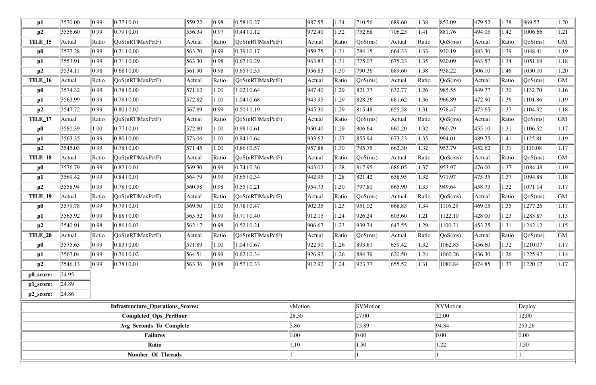| $\mathbf{p1}$  | 3570.00 | 0.99           | 0.7710.01                                | 559.22 | 0.98           | 0.5810.27                   | 987.55  | 1.34  | 710.56                         | 689.60 | 1.38  | 852.09           | 479.52 | 1.38  | 969.57                         | 1.20 |
|----------------|---------|----------------|------------------------------------------|--------|----------------|-----------------------------|---------|-------|--------------------------------|--------|-------|------------------|--------|-------|--------------------------------|------|
| p2             | 3556.60 | 0.99           | 0.7910.01                                | 556.34 | 0.97           | 0.44 0.12                   | 972.40  | 1.32  | 752.68                         | 706.23 | 1.41  | 881.76           | 494.05 | 1.42  | 1006.66                        | 1.21 |
| <b>TILE_15</b> | Actual  | Ratio          | QoS(nRTlMaxPctF)                         | Actual | Ratio          | QoS(nRTlMaxPctF)            | Actual  | Ratio | $\sqrt{\text{QoS}(\text{ms})}$ | Actual | Ratio | QoS(ms)          | Actual | Ratio | $\sqrt{\text{QoS}(\text{ms})}$ | GM   |
| $\bf p0$       | 3577.28 | 0.99           | 0.7110.00                                | 563.70 | 0.99           | 0.3910.17                   | 959.75  | 1.31  | 784.15                         | 664.33 | 1.33  | 930.19           | 483.30 | 1.39  | 1048.41                        | 1.19 |
| p1             | 3553.91 | 0.99           | 0.7110.00                                | 563.30 | 0.98           | 0.67 0.29                   | 963.83  | 1.31  | 775.07                         | 675.23 | 1.35  | 920.09           | 463.57 | 1.34  | 1051.69                        | 1.18 |
| p2             | 3534.11 | 0.98           | 0.6810.00                                | 561.90 | 0.98           | 0.65 0.33                   | 956.83  | 1.30  | 790.36                         | 689.60 | .38   | 938.22           | 506.10 | 1.46  | 1050.10                        | 1.20 |
| <b>TILE_16</b> | Actual  | Ratio          | QoS(nRTlMaxPctF)                         | Actual | Ratio          | QoS(nRTlMaxPctF)            | Actual  | Ratio | QoS(ms)                        | Actual | Ratio | QoS(ms)          | Actual | Ratio | QoS(ms)                        | GM   |
| $\bf p0$       | 3574.32 | 0.99           | 0.7810.00                                | 571.62 | 1.00           | 1.02   0.64                 | 947.40  | l.29  | 821.77                         | 632.77 | 1.26  | 985.55           | 449.77 | 1.30  | 1132.70                        | 1.16 |
| $\mathbf{p1}$  | 3563.99 | 0.99           | 0.7810.00                                | 572.82 | 1.00           | $1.04 \mid 0.68$            | 943.95  | 1.29  | 828.26                         | 681.62 | 1.36  | 966.89           | 472.90 | 1.36  | 1101.86                        | 1.19 |
| p2             | 3547.72 | 0.99           | 0.8010.02                                | 567.89 | 0.99           | $ 0.5010.19\rangle$         | 945.30  | 1.29  | 815.48                         | 655.58 | 1.31  | 978.47           | 473.65 | 1.37  | 1104.32                        | 1.18 |
| TILE_17        | Actual  | Ratio          | QoS(nRTlMaxPctF)                         | Actual | Ratio          | $\sqrt{QoS(nRTIMaxPctF)}$   | Actual  | Ratio | QoS(ms)                        | Actual | Ratio | QoS(ms)          | Actual | Ratio | QoS(ms)                        | GM   |
| $\bf p0$       | 3580.39 | 1.00           | 0.7710.01                                | 572.80 | 1.00           | 0.98 0.61                   | 950.40  | 1.29  | 806.64                         | 660.20 | 1.32  | 960.79           | 455.10 | 1.31  | 1106.52                        | 1.17 |
| p1             | 3563.35 | 0.99           | 0.8010.00                                | 573.06 | 1.00           | 0.94 0.64                   | 933.62  | 1.27  | 855.94                         | 673.23 | 1.35  | 994.01           | 489.75 | 1.41  | 1125.81                        | 1.19 |
| p2             | 3545.03 | 0.99           | 0.7810.00                                | 571.45 | 1.00           | 0.8610.57                   | 957.88  | 1.30  | 795.75                         | 662.30 | 1.32  | 953.79           | 452.62 | 1.31  | 1110.08                        | 1.17 |
| TILE_18        | Actual  | Ratio          | QoS(nRTlMaxPctF)                         | Actual | Ratio          | QoS(nRTlMaxPctF)            | Actual  | Ratio | $\sqrt{\text{QoS}(\text{ms})}$ | Actual | Ratio | QoS(ms)          | Actual | Ratio | QoS(ms)                        | GM   |
| $\bf p0$       | 3576.79 | $ 0.99\rangle$ | 0.8210.01                                | 569.30 | $ 0.99\rangle$ | 0.74 0.36                   | 943.02  | 1.28  | 817.95                         | 686.05 | 1.37  | 953.97           | 476.00 | 1.37  | 1084.48                        | 1.19 |
| p1             | 3569.42 | 0.99           | 0.8410.01                                | 564.79 | 0.99           | 0.65  0.34                  | 942.95  | 1.28  | 821.42                         | 658.95 | 1.32  | 971.97           | 475.35 | 1.37  | 1094.88                        | 1.18 |
| p2             | 3558.94 | 0.99           | 0.7810.00                                | 560.58 | 0.98           | 0.55 0.21                   | 954.73  | 1.30  | 797.80                         | 665.90 | 1.33  | 949.64           | 458.73 | 1.32  | 1071.14                        | 1.17 |
| TILE_19        | Actual  | Ratio          | QoS(nRTlMaxPctF)                         | Actual | Ratio          | QoS(nRTlMaxPctF)            | Actual  | Ratio | QoS(ms)                        | Actual | Ratio | QoS(ms)          | Actual | Ratio | QoS(ms)                        | GM   |
| $\bf p0$       | 3579.78 | 0.99           | 0.7910.01                                | 569.50 | 1.00           | 0.78 0.47                   | 902.35  | 1.23  | 951.02                         | 668.83 | 1.34  | 1116.29          | 469.05 | 1.35  | 1277.26                        | 1.17 |
| p1             | 3565.92 | 0.99           | 0.8810.00                                | 565.52 | 0.99           | 0.71 0.40                   | 912.15  | 1.24  | 926.24                         | 603.60 | 1.21  | 1122.10          | 428.00 | 1.23  | 1283.87                        | 1.13 |
| p2             | 3540.91 | 0.98           | $0.86 \mid 0.03$                         | 562.17 | 0.98           | 0.52 0.21                   | 906.67  | 1.23  | 939.74                         | 647.55 | 1.29  | 1100.31          | 453.25 | 1.31  | 1242.12                        | 1.15 |
| <b>TILE_20</b> | Actual  | Ratio          | [QoS(nRTIMaxPetF)                        | Actual | $\ $ Ratio     | $\sqrt{QoS(nRT)MaxPctF}$    | Actual  | Ratio | $\sqrt{QoS(ms)}$               | Actual | Ratio | $\sqrt{QoS(ms)}$ | Actual | Ratio | $\sqrt{QoS(ms)}$               | GM   |
| $\bf p0$       | 3575.65 | 0.99           | 0.8310.00                                | 571.89 | 1.00           | 1.04   0.67                 | 922.90  | 1.26  | 893.61                         | 659.42 | 1.32  | 1062.83          | 456.60 | 1.32  | 1210.07                        | 1.17 |
| p1             | 3567.04 | 0.99           | 0.76 0.02                                | 564.51 | 0.99           | 0.62 0.34                   | 926.92  | 1.26  | 884.39                         | 620.50 | 1.24  | 1060.26          | 436.30 | 1.26  | 1225.92                        | 1.14 |
| p2             | 3546.13 | $ 0.99\rangle$ | 0.78 0.01                                | 563.36 | 0.98           | $\vert 0.57 \, 10.33 \vert$ | 912.92  | 1.24  | 923.77                         | 655.52 | 1.31  | 1080.84          | 474.85 | 1.37  | 1220.17                        | 1.17 |
| p0_score:      | 24.95   |                |                                          |        |                |                             |         |       |                                |        |       |                  |        |       |                                |      |
| p1_score:      | 24.89   |                |                                          |        |                |                             |         |       |                                |        |       |                  |        |       |                                |      |
| p2_score:      | 24.86   |                |                                          |        |                |                             |         |       |                                |        |       |                  |        |       |                                |      |
|                |         |                | <b>Infrastructure_Operations_Scores:</b> |        |                |                             | vMotion |       | <b>SVMotion</b>                |        |       | XVMotion         |        |       | $\ $ Deploy                    |      |

| <b>Infrastructure_Operations_Scores:</b> | $\ $ vMotion       | <b>SVMotion</b> | XVMotion           | $\ $ Deploy  |
|------------------------------------------|--------------------|-----------------|--------------------|--------------|
| <b>Completed_Ops_PerHour</b>             | 28.50              | 27.00           | 22.00              | 12.00        |
| Avg_Seconds_To_Complete                  | $\vert 5.86 \vert$ | 75.89           | 94.84              | $\ 253.26\ $ |
| <b>Failures</b>                          | $\ 0.00$           | 0.00            | $\vert 0.00 \vert$ | $\ 0.00\ $   |
| Ratio                                    | 1.10               | 1.50            | 1.22               | 1.50         |
| Number_Of_Threads                        |                    |                 |                    |              |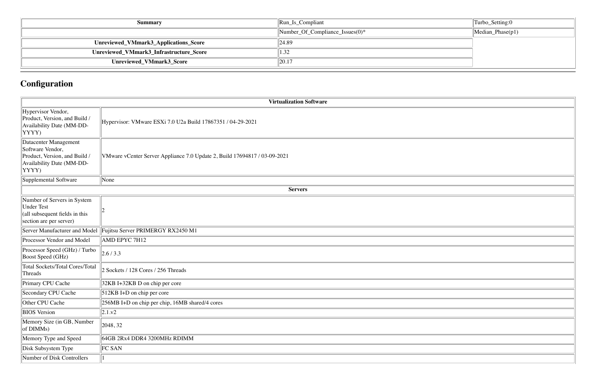| Summary                                 | $\left\vert \text{Run}\_{\text{Is}\_{\text{Compliant}}\right\vert$ | Turbo_Setting:0              |
|-----------------------------------------|--------------------------------------------------------------------|------------------------------|
|                                         | $\mathbb{N}$ umber_Of_Compliance_Issues(0)*                        | $ \text{Median\_Phase}(p1) $ |
| Unreviewed_VMmark3_Applications_Score   | 24.89                                                              |                              |
| Unreviewed_VMmark3_Infrastructure_Score | 1.32                                                               |                              |
| Unreviewed_VMmark3_Score                | 20.17                                                              |                              |

# **Configuration**

|                                                                                                                  | <b>Virtualization Software</b>                                            |
|------------------------------------------------------------------------------------------------------------------|---------------------------------------------------------------------------|
| Hypervisor Vendor,<br>Product, Version, and Build /<br>Availability Date (MM-DD-<br>YYYY)                        | Hypervisor: VMware ESXi 7.0 U2a Build 17867351 / 04-29-2021               |
| Datacenter Management<br>Software Vendor,<br>Product, Version, and Build /<br>Availability Date (MM-DD-<br>YYYY) | VMware vCenter Server Appliance 7.0 Update 2, Build 17694817 / 03-09-2021 |
| Supplemental Software                                                                                            | None                                                                      |
|                                                                                                                  | <b>Servers</b>                                                            |
| Number of Servers in System<br><b>Under Test</b><br>(all subsequent fields in this<br>section are per server)    |                                                                           |
| Server Manufacturer and Model                                                                                    | Fujitsu Server PRIMERGY RX2450 M1                                         |
| Processor Vendor and Model                                                                                       | AMD EPYC 7H12                                                             |
| Processor Speed (GHz) / Turbo<br><b>Boost Speed (GHz)</b>                                                        | 2.6/3.3                                                                   |
| <b>Total Sockets/Total Cores/Total</b><br>Threads                                                                | 2 Sockets / 128 Cores / 256 Threads                                       |
| Primary CPU Cache                                                                                                | 32KB I+32KB D on chip per core                                            |
| Secondary CPU Cache                                                                                              | 512KB I+D on chip per core                                                |
| Other CPU Cache                                                                                                  | 256MB I+D on chip per chip, 16MB shared/4 cores                           |
| <b>BIOS</b> Version                                                                                              | 2.1.v2                                                                    |
| Memory Size (in GB, Number<br>of DIMMs)                                                                          | 2048, 32                                                                  |
| Memory Type and Speed                                                                                            | 64GB 2Rx4 DDR4 3200MHz RDIMM                                              |
| Disk Subsystem Type                                                                                              | FC SAN                                                                    |
| Number of Disk Controllers                                                                                       |                                                                           |

| Turbo_Setting:0  |
|------------------|
| Median_Phase(p1) |
|                  |
|                  |
|                  |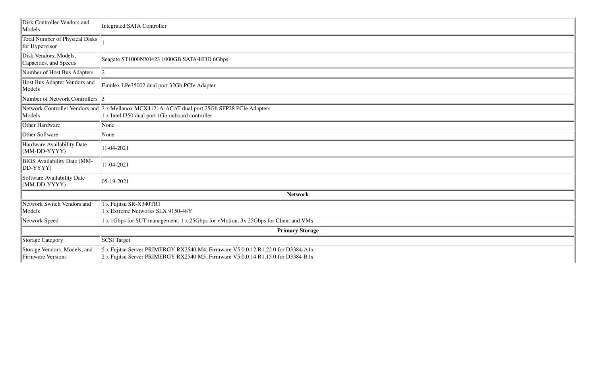| Disk Controller Vendors and<br>Models                    | <b>Integrated SATA Controller</b>                                                                                                                                           |
|----------------------------------------------------------|-----------------------------------------------------------------------------------------------------------------------------------------------------------------------------|
| <b>Total Number of Physical Disks</b><br>for Hypervisor  |                                                                                                                                                                             |
| Disk Vendors, Models,<br>Capacities, and Speeds          | Seagate ST1000NX0423 1000GB SATA-HDD 6Gbps                                                                                                                                  |
| Number of Host Bus Adapters                              | $ 2\rangle$                                                                                                                                                                 |
| Host Bus Adapter Vendors and<br>Models                   | Emulex LPe35002 dual port 32Gb PCIe Adapter                                                                                                                                 |
| Number of Network Controllers 3                          |                                                                                                                                                                             |
| Models                                                   | Network Controller Vendors and 2 x Mellanox MCX4121A-ACAT dual port 25Gb SFP28 PCIe Adapters<br>1 x Intel I350 dual port 1Gb onboard controller                             |
| Other Hardware                                           | None                                                                                                                                                                        |
| Other Software                                           | None                                                                                                                                                                        |
| Hardware Availability Date<br>$(MM-DD-YYYY)$             | 11-04-2021                                                                                                                                                                  |
| <b>BIOS</b> Availability Date (MM-<br>DD-YYYY)           | 11-04-2021                                                                                                                                                                  |
| Software Availability Date<br>$(MM-DD-YYYY)$             | $ 05 - 19 - 2021$                                                                                                                                                           |
|                                                          | <b>Network</b>                                                                                                                                                              |
| Network Switch Vendors and<br>Models                     | 1 x Fujitsu SR-X340TR1<br>1 x Extreme Networks SLX 9150-48Y                                                                                                                 |
| Network Speed                                            | 1 x 1Gbps for SUT management, 1 x 25Gbps for vMotion, 3x 25Gbps for Client and VMs                                                                                          |
|                                                          | <b>Primary Storage</b>                                                                                                                                                      |
| <b>Storage Category</b>                                  | <b>SCSI</b> Target                                                                                                                                                          |
| Storage Vendors, Models, and<br><b>Firmware Versions</b> | $5$ x Fujitsu Server PRIMERGY RX2540 M4, Firmware V5.0.0.12 R1.22.0 for D3384-A1x<br>$2 \times$ Fujitsu Server PRIMERGY RX2540 M5, Firmware V5.0.0.14 R1.15.0 for D3384-B1x |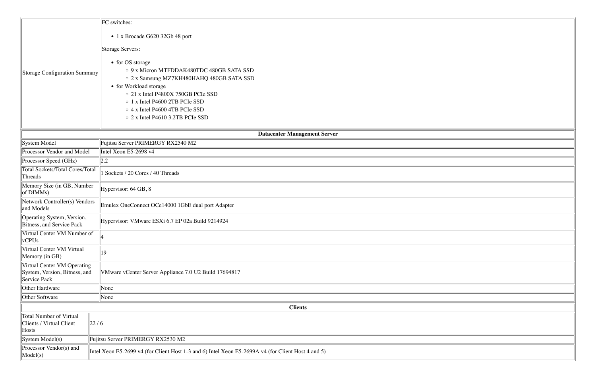|                                                                              | FC switches:                                                                                       |
|------------------------------------------------------------------------------|----------------------------------------------------------------------------------------------------|
|                                                                              | • 1 x Brocade G620 32Gb 48 port                                                                    |
|                                                                              | Storage Servers:                                                                                   |
| Storage Configuration Summary                                                | • for OS storage<br>○ 9 x Micron MTFDDAK480TDC 480GB SATA SSD                                      |
|                                                                              | ○ 2 x Samsung MZ7KH480HAHQ 480GB SATA SSD                                                          |
|                                                                              | • for Workload storage                                                                             |
|                                                                              | ○ 21 x Intel P4800X 750GB PCIe SSD<br>○ 1 x Intel P4600 2TB PCIe SSD                               |
|                                                                              | $\circ$ 4 x Intel P4600 4TB PCIe SSD                                                               |
|                                                                              | $\circ$ 2 x Intel P4610 3.2TB PCIe SSD                                                             |
|                                                                              | <b>Datacenter Management Server</b>                                                                |
| System Model                                                                 | Fujitsu Server PRIMERGY RX2540 M2                                                                  |
| Processor Vendor and Model                                                   | Intel Xeon E5-2698 v4                                                                              |
| Processor Speed (GHz)                                                        | 2.2                                                                                                |
| <b>Total Sockets/Total Cores/Total</b><br>Threads                            | Sockets / 20 Cores / 40 Threads                                                                    |
| Memory Size (in GB, Number<br>of DIMMs)                                      | Hypervisor: 64 GB, 8                                                                               |
| Network Controller(s) Vendors<br>and Models                                  | Emulex OneConnect OCe14000 1GbE dual port Adapter                                                  |
| Operating System, Version,<br>Bitness, and Service Pack                      | Hypervisor: VMware ESXi 6.7 EP 02a Build 9214924                                                   |
| Virtual Center VM Number of<br>vCPUs                                         |                                                                                                    |
| Virtual Center VM Virtual<br>Memory (in GB)                                  | 19                                                                                                 |
| Virtual Center VM Operating<br>System, Version, Bitness, and<br>Service Pack | VMware vCenter Server Appliance 7.0 U2 Build 17694817                                              |
| Other Hardware                                                               | None                                                                                               |
| Other Software                                                               | None                                                                                               |
|                                                                              | <b>Clients</b>                                                                                     |
| <b>Total Number of Virtual</b><br>Clients / Virtual Client<br>Hosts          | 22/6                                                                                               |
| System Model(s)                                                              | Fujitsu Server PRIMERGY RX2530 M2                                                                  |
| Processor Vendor(s) and<br>Model(s)                                          | Intel Xeon E5-2699 v4 (for Client Host 1-3 and 6) Intel Xeon E5-2699A v4 (for Client Host 4 and 5) |

| <u> 1989 - Johann Stoff, deutscher Stoff, der Stoff, der Stoff, der Stoff, der Stoff, der Stoff, der Stoff, der S</u> |  |
|-----------------------------------------------------------------------------------------------------------------------|--|
|                                                                                                                       |  |
|                                                                                                                       |  |
|                                                                                                                       |  |
|                                                                                                                       |  |
|                                                                                                                       |  |
|                                                                                                                       |  |
|                                                                                                                       |  |
|                                                                                                                       |  |
|                                                                                                                       |  |
|                                                                                                                       |  |
|                                                                                                                       |  |
|                                                                                                                       |  |
|                                                                                                                       |  |
|                                                                                                                       |  |
|                                                                                                                       |  |
|                                                                                                                       |  |
|                                                                                                                       |  |
|                                                                                                                       |  |
|                                                                                                                       |  |
|                                                                                                                       |  |
|                                                                                                                       |  |
|                                                                                                                       |  |
|                                                                                                                       |  |
|                                                                                                                       |  |
|                                                                                                                       |  |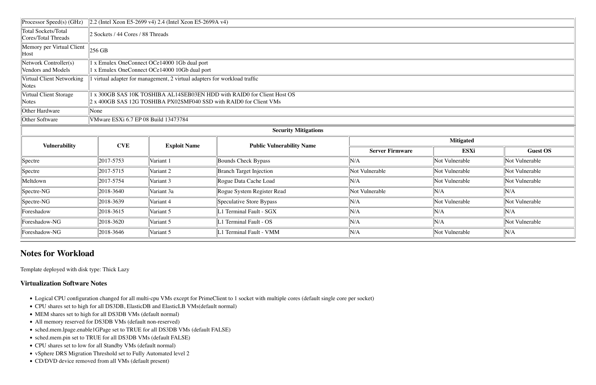| Processor Speed(s) (GHz)                          | $\left 2.2\right $ (Intel Xeon E5-2699 v4) 2.4 (Intel Xeon E5-2699A v4) |                                                                         |                                  |                        |                |                |  |  |  |
|---------------------------------------------------|-------------------------------------------------------------------------|-------------------------------------------------------------------------|----------------------------------|------------------------|----------------|----------------|--|--|--|
| <b>Total Sockets/Total</b><br>Cores/Total Threads | 2 Sockets / 44 Cores / 88 Threads                                       |                                                                         |                                  |                        |                |                |  |  |  |
| Memory per Virtual Client<br>Host                 | $256$ GB                                                                |                                                                         |                                  |                        |                |                |  |  |  |
| Network Controller(s)                             | 1 x Emulex OneConnect OCe14000 1Gb dual port                            |                                                                         |                                  |                        |                |                |  |  |  |
| Vendors and Models                                | 1 x Emulex OneConnect OCe14000 10Gb dual port                           |                                                                         |                                  |                        |                |                |  |  |  |
| Virtual Client Networking                         |                                                                         | virtual adapter for management, 2 virtual adapters for workload traffic |                                  |                        |                |                |  |  |  |
| Notes                                             |                                                                         |                                                                         |                                  |                        |                |                |  |  |  |
| Virtual Client Storage                            | x 300GB SAS 10K TOSHIBA AL14SEB03EN HDD with RAID0 for Client Host OS   |                                                                         |                                  |                        |                |                |  |  |  |
| Notes                                             | 2 x 400GB SAS 12G TOSHIBA PX02SMF040 SSD with RAID0 for Client VMs      |                                                                         |                                  |                        |                |                |  |  |  |
| Other Hardware                                    | None                                                                    |                                                                         |                                  |                        |                |                |  |  |  |
| Other Software                                    | VMware ESXi 6.7 EP 08 Build 13473784                                    |                                                                         |                                  |                        |                |                |  |  |  |
|                                                   |                                                                         |                                                                         | <b>Security Mitigations</b>      |                        |                |                |  |  |  |
| <b>Vulnerability</b>                              | <b>CVE</b>                                                              |                                                                         | <b>Public Vulnerability Name</b> | <b>Mitigated</b>       |                |                |  |  |  |
|                                                   |                                                                         | <b>Exploit Name</b>                                                     |                                  | <b>Server Firmware</b> | ESXi           | Gues           |  |  |  |
| Spectre                                           | 2017-5753                                                               | Variant 1                                                               | Bounds Check Bypass              | N/A                    | Not Vulnerable | Not Vulnerable |  |  |  |
| Spectre                                           | 2017-5715                                                               | Variant 2                                                               | <b>Branch Target Injection</b>   | Not Vulnerable         | Not Vulnerable | Not Vulnerable |  |  |  |
| Meltdown                                          | 2017-5754                                                               | Variant 3                                                               | Rogue Data Cache Load            | N/A                    | Not Vulnerable | Not Vulnerable |  |  |  |
| $\sqrt{\text{Spective-NG}}$                       | 2018-3640                                                               | Variant 3a                                                              | Rogue System Register Read       | Not Vulnerable         | N/A            | N/A            |  |  |  |

## **Notes for Workload**

Template deployed with disk type: Thick Lazy

#### **Virtualization Software Notes**

- Logical CPU configuration changed for all multi-cpu VMs except for PrimeClient to 1 socket with multiple cores (default single core per socket)
- CPU shares set to high for all DS3DB, ElasticDB and ElasticLB VMs(default normal)
- MEM shares set to high for all DS3DB VMs (default normal)
- All memory reserved for DS3DB VMs (default non-reserved)
- sched.mem.lpage.enable1GPage set to TRUE for all DS3DB VMs (default FALSE)
- sched.mem.pin set to TRUE for all DS3DB VMs (default FALSE)
- CPU shares set to low for all Standby VMs (default normal)
- vSphere DRS Migration Threshold set to Fully Automated level 2
- CD/DVD device removed from all VMs (default present)

| Processor Speed(s) (GHz)                   | $\ 2.2$ (Intel Xeon E5-2699 v4) 2.4 (Intel Xeon E5-2699A v4)            |                      |                                  |                  |                 |                |  |  |  |  |
|--------------------------------------------|-------------------------------------------------------------------------|----------------------|----------------------------------|------------------|-----------------|----------------|--|--|--|--|
| Total Sockets/Total<br>Cores/Total Threads | 2 Sockets / 44 Cores / 88 Threads                                       |                      |                                  |                  |                 |                |  |  |  |  |
| Memory per Virtual Client<br>Host          | $256$ GB                                                                |                      |                                  |                  |                 |                |  |  |  |  |
| Network Controller(s)                      | x Emulex OneConnect OCe14000 1Gb dual port                              |                      |                                  |                  |                 |                |  |  |  |  |
| Vendors and Models                         | x Emulex OneConnect OCe14000 10Gb dual port                             |                      |                                  |                  |                 |                |  |  |  |  |
| Virtual Client Networking<br>Notes         | virtual adapter for management, 2 virtual adapters for workload traffic |                      |                                  |                  |                 |                |  |  |  |  |
| Virtual Client Storage                     | x 300GB SAS 10K TOSHIBA AL14SEB03EN HDD with RAID0 for Client Host OS   |                      |                                  |                  |                 |                |  |  |  |  |
| Notes                                      | 2 x 400GB SAS 12G TOSHIBA PX02SMF040 SSD with RAID0 for Client VMs      |                      |                                  |                  |                 |                |  |  |  |  |
| Other Hardware                             | None                                                                    |                      |                                  |                  |                 |                |  |  |  |  |
| Other Software                             | VMware ESXi 6.7 EP 08 Build 13473784                                    |                      |                                  |                  |                 |                |  |  |  |  |
| <b>Security Mitigations</b>                |                                                                         |                      |                                  |                  |                 |                |  |  |  |  |
| <b>Vulnerability</b>                       | <b>CVE</b><br><b>Exploit Name</b>                                       |                      | <b>Public Vulnerability Name</b> | <b>Mitigated</b> |                 |                |  |  |  |  |
|                                            |                                                                         |                      | <b>Server Firmware</b>           | <b>ESXi</b>      | <b>Guest OS</b> |                |  |  |  |  |
| Spectre                                    | 2017-5753                                                               | Variant 1            | <b>Bounds Check Bypass</b>       | N/A              | Not Vulnerable  | Not Vulnerable |  |  |  |  |
| Spectre                                    | 2017-5715                                                               | Variant <sub>2</sub> | <b>Branch Target Injection</b>   | Not Vulnerable   | Not Vulnerable  | Not Vulnerable |  |  |  |  |
| Meltdown                                   | 2017-5754                                                               | Variant 3            | Rogue Data Cache Load            | N/A              | Not Vulnerable  | Not Vulnerable |  |  |  |  |
| Spectre-NG                                 | 2018-3640                                                               | Variant 3a           | Rogue System Register Read       | Not Vulnerable   | N/A             | N/A            |  |  |  |  |
| Spectre-NG                                 | 2018-3639                                                               | Variant 4            | Speculative Store Bypass         | N/A              | Not Vulnerable  | Not Vulnerable |  |  |  |  |
| Foreshadow                                 | 2018-3615                                                               | Variant 5            | L1 Terminal Fault - SGX          | N/A              | N/A             | N/A            |  |  |  |  |
| Foreshadow-NG                              | 2018-3620                                                               | Variant 5            | L1 Terminal Fault - OS           | N/A              | N/A             | Not Vulnerable |  |  |  |  |
| Foreshadow-NG                              | 2018-3646                                                               | Variant 5            | L1 Terminal Fault - VMM          | N/A              | Not Vulnerable  | N/A            |  |  |  |  |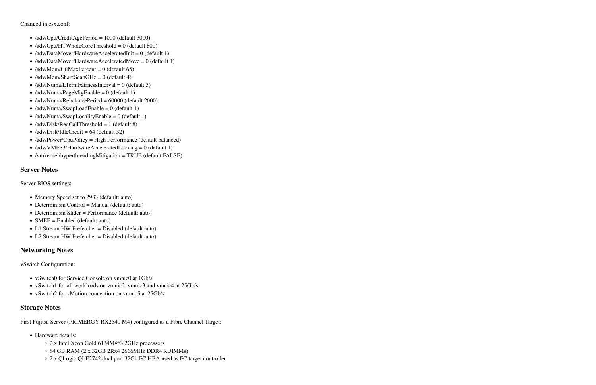Changed in esx.conf:

- /adv/Cpu/CreditAgePeriod = 1000 (default 3000)
- $\langle \text{adv/Cpu/HTWholeCoreThreshold} = 0$  (default 800)
- /adv/DataMover/HardwareAcceleratedInit =  $0$  (default 1)
- /adv/DataMover/HardwareAcceleratedMove = 0 (default 1)
- /adv/Mem/CtlMaxPercent = 0 (default 65)
- /adv/Mem/ShareScanGHz =  $0$  (default 4)
- /adv/Numa/LTermFairnessInterval =  $0$  (default 5)
- /adv/Numa/PageMigEnable =  $0$  (default 1)
- /adv/Numa/RebalancePeriod =  $60000$  (default 2000)
- /adv/Numa/SwapLoadEnable =  $0$  (default 1)
- /adv/Numa/SwapLocalityEnable = 0 (default 1)
- /adv/Disk/ReqCallThreshold = 1 (default 8)
- $\langle \text{adv}/\text{Disk}/\text{idleCredit} = 64 \text{ (default 32)} \rangle$
- /adv/Power/CpuPolicy = High Performance (default balanced)
- /adv/VMFS3/HardwareAcceleratedLocking = 0 (default 1)
- /vmkernel/hyperthreadingMitigation = TRUE (default FALSE)

- vSwitch0 for Service Console on vmnic0 at 1Gb/s
- vSwitch1 for all workloads on vmnic2, vmnic3 and vmnic4 at 25Gb/s
- vSwitch2 for vMotion connection on vmnic5 at 25Gb/s

#### **Server Notes**

Server BIOS settings:

- Memory Speed set to 2933 (default: auto)
- Determinism Control = Manual (default: auto)
- Determinism Slider = Performance (default: auto)
- SMEE = Enabled (default: auto)
- L1 Stream HW Prefetcher = Disabled (default auto)
- L2 Stream HW Prefetcher = Disabled (default auto)

#### **Networking Notes**

vSwitch Configuration:

#### **Storage Notes**

First Fujitsu Server (PRIMERGY RX2540 M4) configured as a Fibre Channel Target:

- Hardware details:
	- 2 x Intel Xeon Gold 6134M@3.2GHz processors
	- $\circ$  64 GB RAM (2 x 32GB 2Rx4 2666MHz DDR4 RDIMMs)
	- 2 x QLogic QLE2742 dual port 32Gb FC HBA used as FC target controller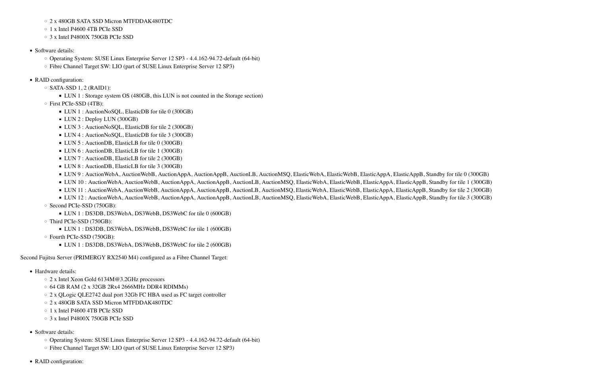- Hardware details:
	- 2 x Intel Xeon Gold 6134M@3.2GHz processors
	- $\circ$  64 GB RAM (2 x 32GB 2Rx4 2666MHz DDR4 RDIMMs)
	- 2 x QLogic QLE2742 dual port 32Gb FC HBA used as FC target controller
	- 2 x 480GB SATA SSD Micron MTFDDAK480TDC
	- 1 x Intel P4600 4TB PCIe SSD
	- 3 x Intel P4800X 750GB PCIe SSD
- Software details:
	- Operating System: SUSE Linux Enterprise Server 12 SP3 4.4.162-94.72-default (64-bit)
	- Fibre Channel Target SW: LIO (part of SUSE Linux Enterprise Server 12 SP3)
- RAID configuration:

- 2 x 480GB SATA SSD Micron MTFDDAK480TDC
- 1 x Intel P4600 4TB PCIe SSD
- 3 x Intel P4800X 750GB PCIe SSD
- Software details:
	- Operating System: SUSE Linux Enterprise Server 12 SP3 4.4.162-94.72-default (64-bit)
	- Fibre Channel Target SW: LIO (part of SUSE Linux Enterprise Server 12 SP3)
- RAID configuration:
	- $\circ$  SATA-SSD 1, 2 (RAID1):
		- LUN 1 : Storage system OS (480GB, this LUN is not counted in the Storage section)
	- First PCIe-SSD (4TB):
		- LUN 1 : AuctionNoSQL, ElasticDB for tile 0 (300GB)
		- $\blacksquare$  LUN 2 : Deploy LUN (300GB)
		- LUN 3 : AuctionNoSQL, ElasticDB for tile 2 (300GB)
		- LUN 4 : AuctionNoSQL, ElasticDB for tile 3 (300GB)
		- LUN 5 : AuctionDB, ElasticLB for tile 0 (300GB)
		- LUN 6 : AuctionDB, ElasticLB for tile 1 (300GB)
		- LUN 7 : AuctionDB, ElasticLB for tile 2 (300GB)
		- LUN 8 : AuctionDB, ElasticLB for tile 3 (300GB)
		- LUN 9: AuctionWebA, AuctionWebB, AuctionAppA, AuctionAppB, AuctionLB, AuctionMSQ, ElasticWebA, ElasticWebB, ElasticAppA, ElasticAppB, Standby for tile 0 (300GB)
		- LUN 10 : AuctionWebA, AuctionWebB, AuctionAppA, AuctionAppB, AuctionLB, AuctionMSQ, ElasticWebA, ElasticWebB, ElasticAppA, ElasticAppB, Standby for tile 1 (300GB)
		- LUN 11 : AuctionWebA, AuctionWebB, AuctionAppA, AuctionAppB, AuctionLB, AuctionMSQ, ElasticWebA, ElasticWebB, ElasticAppA, ElasticAppB, Standby for tile 2 (300GB)
	- LUN 12 : AuctionWebA, AuctionWebB, AuctionAppA, AuctionAppB, AuctionLB, AuctionMSQ, ElasticWebA, ElasticWebB, ElasticAppA, ElasticAppB, Standby for tile 3 (300GB) ◦ Second PCIe-SSD (750GB):
		- LUN 1 : DS3DB, DS3WebA, DS3WebB, DS3WebC for tile 0 (600GB)
	- Third PCIe-SSD (750GB):
		- LUN 1 : DS3DB, DS3WebA, DS3WebB, DS3WebC for tile 1 (600GB)
	- Fourth PCIe-SSD (750GB):
		- LUN 1 : DS3DB, DS3WebA, DS3WebB, DS3WebC for tile 2 (600GB)

Second Fujitsu Server (PRIMERGY RX2540 M4) configured as a Fibre Channel Target: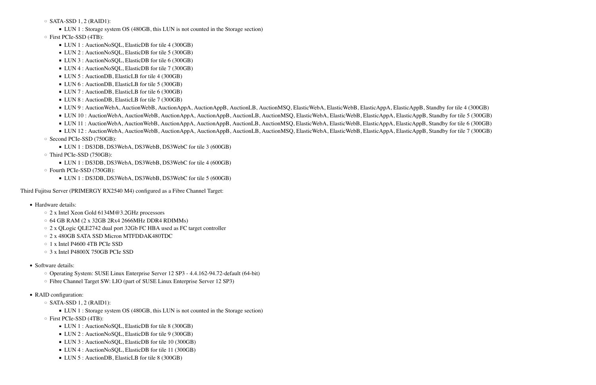$\circ$  SATA-SSD 1, 2 (RAID1):

■ LUN 1 : Storage system OS (480GB, this LUN is not counted in the Storage section)

#### ◦ First PCIe-SSD (4TB):

- LUN 1 : AuctionNoSQL, ElasticDB for tile 4 (300GB)
- LUN 2 : AuctionNoSQL, ElasticDB for tile 5 (300GB)
- LUN 3 : AuctionNoSQL, ElasticDB for tile 6 (300GB)
- LUN 4 : AuctionNoSQL, ElasticDB for tile 7 (300GB)
- LUN 5 : AuctionDB, ElasticLB for tile 4 (300GB)
- LUN 6 : AuctionDB, ElasticLB for tile 5 (300GB)
- LUN 7 : AuctionDB, ElasticLB for tile 6 (300GB)
- LUN 8 : AuctionDB, ElasticLB for tile 7 (300GB)
- LUN 9: AuctionWebA, AuctionWebB, AuctionAppA, AuctionAppB, AuctionLB, AuctionMSQ, ElasticWebA, ElasticWebB, ElasticAppA, ElasticAppB, Standby for tile 4 (300GB)
- LUN 10 : AuctionWebA, AuctionWebB, AuctionAppA, AuctionAppB, AuctionLB, AuctionMSQ, ElasticWebA, ElasticWebB, ElasticAppA, ElasticAppB, Standby for tile 5 (300GB)
- LUN 11 : AuctionWebA, AuctionWebB, AuctionAppA, AuctionAppB, AuctionLB, AuctionMSQ, ElasticWebA, ElasticWebB, ElasticAppA, ElasticAppB, Standby for tile 6 (300GB)
- LUN 12 : AuctionWebA, AuctionWebB, AuctionAppA, AuctionAppB, AuctionLB, AuctionMSO, ElasticWebA, ElasticWebB, ElasticAppA, ElasticAppB, Standby for tile 7 (300GB)
- Second PCIe-SSD (750GB):
	- LUN 1 : DS3DB, DS3WebA, DS3WebB, DS3WebC for tile 3 (600GB)
- Third PCIe-SSD (750GB):
	- LUN 1 : DS3DB, DS3WebA, DS3WebB, DS3WebC for tile 4 (600GB)
- Fourth PCIe-SSD (750GB):
	- LUN 1 : DS3DB, DS3WebA, DS3WebB, DS3WebC for tile 5 (600GB)

- Hardware details:
	- 2 x Intel Xeon Gold 6134M@3.2GHz processors
	- 64 GB RAM (2 x 32GB 2Rx4 2666MHz DDR4 RDIMMs)
	- 2 x QLogic QLE2742 dual port 32Gb FC HBA used as FC target controller
	- 2 x 480GB SATA SSD Micron MTFDDAK480TDC
	- 1 x Intel P4600 4TB PCIe SSD
	- 3 x Intel P4800X 750GB PCIe SSD
- Software details:
	- Operating System: SUSE Linux Enterprise Server 12 SP3 4.4.162-94.72-default (64-bit)
	- Fibre Channel Target SW: LIO (part of SUSE Linux Enterprise Server 12 SP3)
- RAID configuration:
	- $\circ$  SATA-SSD 1, 2 (RAID1):
		- LUN 1 : Storage system OS (480GB, this LUN is not counted in the Storage section)
	- First PCIe-SSD (4TB):
		- LUN 1 : AuctionNoSQL, ElasticDB for tile 8 (300GB)
		- LUN 2 : AuctionNoSQL, ElasticDB for tile 9 (300GB)
		- LUN 3 : AuctionNoSQL, ElasticDB for tile 10 (300GB)
		- LUN 4 : AuctionNoSQL, ElasticDB for tile 11 (300GB)
		- LUN 5 : AuctionDB, ElasticLB for tile 8 (300GB)

Third Fujitsu Server (PRIMERGY RX2540 M4) configured as a Fibre Channel Target: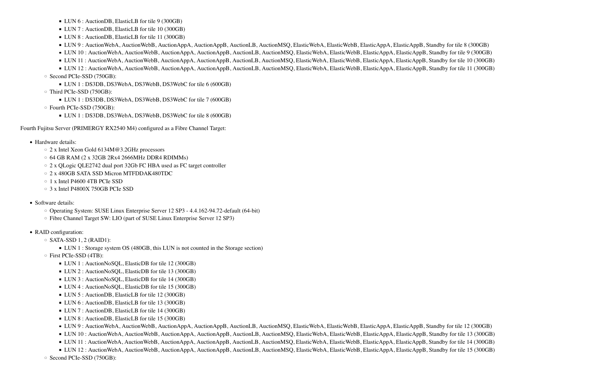- LUN 6 : AuctionDB, ElasticLB for tile 9 (300GB)
- LUN 7 : AuctionDB, ElasticLB for tile 10 (300GB)
- LUN 8 : AuctionDB, ElasticLB for tile 11 (300GB)
- LUN 9: AuctionWebA, AuctionWebB, AuctionAppA, AuctionAppB, AuctionLB, AuctionMSQ, ElasticWebA, ElasticWebB, ElasticAppA, ElasticAppB, Standby for tile 8 (300GB)
- LUN 10 : AuctionWebA, AuctionWebB, AuctionAppA, AuctionAppB, AuctionLB, AuctionMSQ, ElasticWebA, ElasticWebB, ElasticAppA, ElasticAppB, Standby for tile 9 (300GB)
- LUN 11 : AuctionWebA, AuctionWebB, AuctionAppA, AuctionAppB, AuctionLB, AuctionMSQ, ElasticWebA, ElasticWebB, ElasticAppA, ElasticAppB, Standby for tile 10 (300GB)
- LUN 12 : AuctionWebA, AuctionWebB, AuctionAppA, AuctionAppB, AuctionLB, AuctionMSQ, ElasticWebA, ElasticWebB, ElasticAppA, ElasticAppB, Standby for tile 11 (300GB) ◦ Second PCIe-SSD (750GB):
	- LUN 1 : DS3DB, DS3WebA, DS3WebB, DS3WebC for tile 6 (600GB)
- Third PCIe-SSD (750GB):
	- LUN 1 : DS3DB, DS3WebA, DS3WebB, DS3WebC for tile 7 (600GB)
- Fourth PCIe-SSD (750GB):
	- LUN 1 : DS3DB, DS3WebA, DS3WebB, DS3WebC for tile 8 (600GB)

Fourth Fujitsu Server (PRIMERGY RX2540 M4) configured as a Fibre Channel Target:

- Hardware details:
	- 2 x Intel Xeon Gold 6134M@3.2GHz processors
	- 64 GB RAM (2 x 32GB 2Rx4 2666MHz DDR4 RDIMMs)
	- 2 x QLogic QLE2742 dual port 32Gb FC HBA used as FC target controller
	- 2 x 480GB SATA SSD Micron MTFDDAK480TDC
	- 1 x Intel P4600 4TB PCIe SSD
	- 3 x Intel P4800X 750GB PCIe SSD
- Software details:
	- Operating System: SUSE Linux Enterprise Server 12 SP3 4.4.162-94.72-default (64-bit)
	- Fibre Channel Target SW: LIO (part of SUSE Linux Enterprise Server 12 SP3)
- RAID configuration:
	- $\circ$  SATA-SSD 1, 2 (RAID1):
		- LUN 1 : Storage system OS (480GB, this LUN is not counted in the Storage section)
	- First PCIe-SSD (4TB):
		- LUN 1 : AuctionNoSQL, ElasticDB for tile 12 (300GB)
		- LUN 2 : AuctionNoSQL, ElasticDB for tile 13 (300GB)
		- LUN 3 : AuctionNoSQL, ElasticDB for tile 14 (300GB)
		- LUN 4 : AuctionNoSQL, ElasticDB for tile 15 (300GB)
		- LUN 5 : AuctionDB, ElasticLB for tile 12 (300GB)
		- LUN 6 : AuctionDB, ElasticLB for tile 13 (300GB)
		- LUN 7 : AuctionDB, ElasticLB for tile 14 (300GB)
		- LUN 8 : AuctionDB, ElasticLB for tile 15 (300GB)
		- LUN 9 : AuctionWebA, AuctionWebB, AuctionAppA, AuctionAppB, AuctionLB, AuctionMSQ, ElasticWebA, ElasticWebB, ElasticAppA, ElasticAppB, Standby for tile 12 (300GB)
		- LUN 10 : AuctionWebA, AuctionWebB, AuctionAppA, AuctionAppB, AuctionLB, AuctionMSQ, ElasticWebA, ElasticWebB, ElasticAppA, ElasticAppB, Standby for tile 13 (300GB)
		- LUN 11 : AuctionWebA, AuctionWebB, AuctionAppA, AuctionAppB, AuctionLB, AuctionMSQ, ElasticWebA, ElasticWebB, ElasticAppA, ElasticAppB, Standby for tile 14 (300GB)
		- LUN 12 : AuctionWebA, AuctionWebB, AuctionAppA, AuctionAppB, AuctionLB, AuctionMSQ, ElasticWebA, ElasticWebB, ElasticAppA, ElasticAppB, Standby for tile 15 (300GB)
	- Second PCIe-SSD (750GB):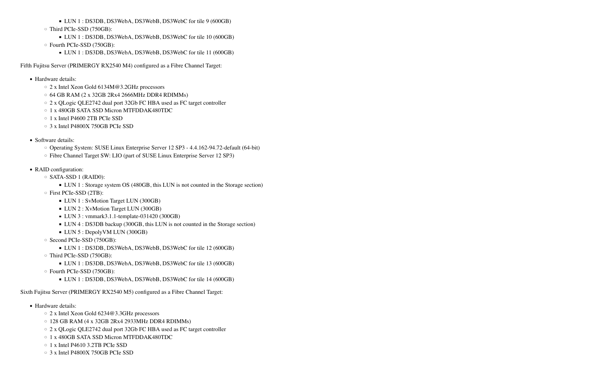- Hardware details:
	- 2 x Intel Xeon Gold 6134M@3.2GHz processors
	- $\circ$  64 GB RAM (2 x 32GB 2Rx4 2666MHz DDR4 RDIMMs)
	- 2 x QLogic QLE2742 dual port 32Gb FC HBA used as FC target controller
	- 1 x 480GB SATA SSD Micron MTFDDAK480TDC
	- 1 x Intel P4600 2TB PCIe SSD
	- 3 x Intel P4800X 750GB PCIe SSD
- Software details:
	- Operating System: SUSE Linux Enterprise Server 12 SP3 4.4.162-94.72-default (64-bit)
	- Fibre Channel Target SW: LIO (part of SUSE Linux Enterprise Server 12 SP3)
- RAID configuration:
	- SATA-SSD 1 (RAID0):
		- LUN 1 : Storage system OS (480GB, this LUN is not counted in the Storage section)
	- First PCIe-SSD (2TB):
		- **LUN 1 : SvMotion Target LUN (300GB)**
		- **LUN 2 : XvMotion Target LUN (300GB)**
		- LUN 3 : vmmark3.1.1-template-031420 (300GB)
		- LUN 4 : DS3DB backup (300GB, this LUN is not counted in the Storage section)
		- LUN 5 : DepolyVM LUN (300GB)
	- Second PCIe-SSD (750GB):
		- LUN 1 : DS3DB, DS3WebA, DS3WebB, DS3WebC for tile 12 (600GB)
	- Third PCIe-SSD (750GB):
		- LUN 1 : DS3DB, DS3WebA, DS3WebB, DS3WebC for tile 13 (600GB)
	- Fourth PCIe-SSD (750GB):
		- LUN 1 : DS3DB, DS3WebA, DS3WebB, DS3WebC for tile 14 (600GB)
- LUN 1 : DS3DB, DS3WebA, DS3WebB, DS3WebC for tile 9 (600GB)
- Third PCIe-SSD (750GB):
	- LUN 1 : DS3DB, DS3WebA, DS3WebB, DS3WebC for tile 10 (600GB)
- Fourth PCIe-SSD (750GB):
	- LUN 1 : DS3DB, DS3WebA, DS3WebB, DS3WebC for tile 11 (600GB)

Fifth Fujitsu Server (PRIMERGY RX2540 M4) configured as a Fibre Channel Target:

- Hardware details:
	- 2 x Intel Xeon Gold 6234@3.3GHz processors
	- 128 GB RAM (4 x 32GB 2Rx4 2933MHz DDR4 RDIMMs)
	- 2 x QLogic QLE2742 dual port 32Gb FC HBA used as FC target controller
	- 1 x 480GB SATA SSD Micron MTFDDAK480TDC
	- 1 x Intel P4610 3.2TB PCIe SSD
	- 3 x Intel P4800X 750GB PCIe SSD

Sixth Fujitsu Server (PRIMERGY RX2540 M5) configured as a Fibre Channel Target: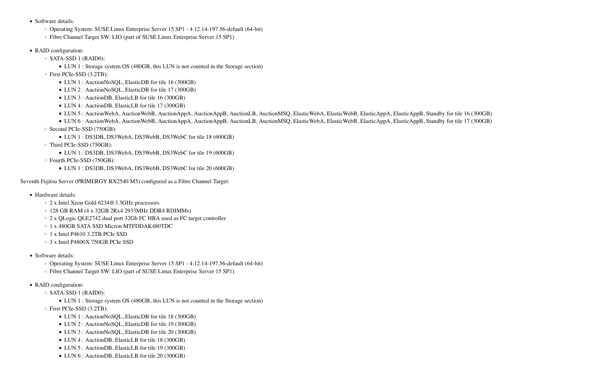- Hardware details:
	- 2 x Intel Xeon Gold 6234@3.3GHz processors
	- 128 GB RAM (4 x 32GB 2Rx4 2933MHz DDR4 RDIMMs)
	- 2 x QLogic QLE2742 dual port 32Gb FC HBA used as FC target controller
	- 1 x 480GB SATA SSD Micron MTFDDAK480TDC
	- 1 x Intel P4610 3.2TB PCIe SSD
	- 3 x Intel P4800X 750GB PCIe SSD
- Software details:
	- Operating System: SUSE Linux Enterprise Server 15 SP1 4.12.14-197.56-default (64-bit)
	- Fibre Channel Target SW: LIO (part of SUSE Linux Enterprise Server 15 SP1)
- RAID configuration:
	- SATA-SSD 1 (RAID0):
		- LUN 1 : Storage system OS (480GB, this LUN is not counted in the Storage section)
	- First PCIe-SSD (3.2TB):
		- LUN 1 : AuctionNoSQL, ElasticDB for tile 18 (300GB)
		- LUN 2 : AuctionNoSQL, ElasticDB for tile 19 (300GB)
		- LUN 3 : AuctionNoSQL, ElasticDB for tile 20 (300GB)
		- LUN 4 : AuctionDB, ElasticLB for tile 18 (300GB)
		- LUN 5 : AuctionDB, ElasticLB for tile 19 (300GB)
		- LUN 6 : AuctionDB, ElasticLB for tile 20 (300GB)

- Software details:
	- Operating System: SUSE Linux Enterprise Server 15 SP1 4.12.14-197.56-default (64-bit)
	- Fibre Channel Target SW: LIO (part of SUSE Linux Enterprise Server 15 SP1)
- RAID configuration:
	- SATA-SSD 1 (RAID0):
		- LUN 1 : Storage system OS (480GB, this LUN is not counted in the Storage section)
	- First PCIe-SSD (3.2TB):
		- LUN 1 : AuctionNoSQL, ElasticDB for tile 16 (300GB)
		- LUN 2 : AuctionNoSQL, ElasticDB for tile 17 (300GB)
		- LUN 3 : AuctionDB, ElasticLB for tile 16 (300GB)
		- LUN 4 : AuctionDB, ElasticLB for tile 17 (300GB)
		- LUN 5 : AuctionWebA, AuctionWebB, AuctionAppA, AuctionAppB, AuctionLB, AuctionMSQ, ElasticWebA, ElasticWebB, ElasticAppA, ElasticAppB, Standby for tile 16 (300GB)
		- LUN 6 : AuctionWebA, AuctionWebB, AuctionAppA, AuctionAppB, AuctionLB, AuctionMSQ, ElasticWebA, ElasticWebB, ElasticAppA, ElasticAppB, Standby for tile 17 (300GB)
	- Second PCIe-SSD (750GB):
		- LUN 1 : DS3DB, DS3WebA, DS3WebB, DS3WebC for tile 18 (600GB)
	- Third PCIe-SSD (750GB):
		- LUN 1 : DS3DB, DS3WebA, DS3WebB, DS3WebC for tile 19 (600GB)
	- Fourth PCIe-SSD (750GB):
		- LUN 1 : DS3DB, DS3WebA, DS3WebB, DS3WebC for tile 20 (600GB)

Seventh Fujitsu Server (PRIMERGY RX2540 M5) configured as a Fibre Channel Target: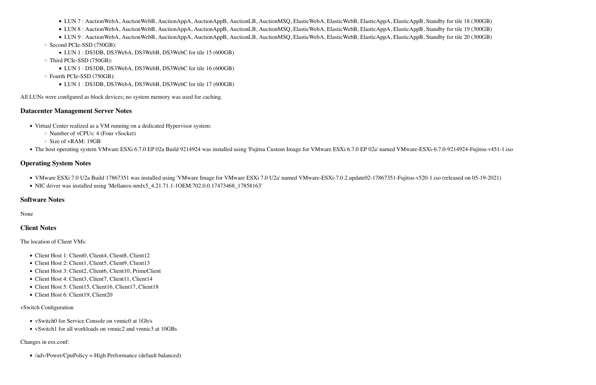■ LUN 7: AuctionWebA, AuctionWebB, AuctionAppA, AuctionAppB, AuctionLB, AuctionMSQ, ElasticWebA, ElasticWebB, ElasticAppA, ElasticAppB, Standby for tile 18 (300GB)

■ LUN 8 : AuctionWebA, AuctionWebB, AuctionAppA, AuctionAppB, AuctionLB, AuctionMSQ, ElasticWebA, ElasticWebB, ElasticAppA, ElasticAppB, Standby for tile 19 (300GB)

■ LUN 9: AuctionWebA, AuctionWebB, AuctionAppA, AuctionAppB, AuctionLB, AuctionMSQ, ElasticWebA, ElasticWebB, ElasticAppA, ElasticAppB, Standby for tile 20 (300GB) ◦ Second PCIe-SSD (750GB):

- LUN 1 : DS3DB, DS3WebA, DS3WebB, DS3WebC for tile 15 (600GB)
- Third PCIe-SSD (750GB):
	- LUN 1 : DS3DB, DS3WebA, DS3WebB, DS3WebC for tile 16 (600GB)
- Fourth PCIe-SSD (750GB):
	- LUN 1 : DS3DB, DS3WebA, DS3WebB, DS3WebC for tile 17 (600GB)

- Virtual Center realized as a VM running on a dedicated Hypervisor system:
	- Number of vCPUs: 4 (Four vSocket)
	- Size of vRAM: 19GB
- The host operating system VMware ESXi 6.7.0 EP 02a Build 9214924 was installed using 'Fujitsu Custom Image for VMware ESXi 6.7.0 EP 02a' named VMware-ESXi-6.7.0-9214924-Fujitsu-v451-1.iso

- VMware ESXi 7.0 U2a Build 17867351 was installed using 'VMware Image for VMware ESXi 7.0 U2a' named VMware-ESXi-7.0.2.update02-17867351-Fujitsu-v520-1.iso (released on 05-19-2021)
- NIC driver was installed using 'Mellanox-nmlx5\_4.21.71.1-1OEM.702.0.0.17473468\_17858163'

All LUNs were configured as block devices; no system memory was used for caching.

#### **Datacenter Management Server Notes**

- vSwitch0 for Service Console on vmnic0 at 1Gb/s
- vSwitch1 for all workloads on vmnic2 and vmnic3 at 10GBs

#### **Operating System Notes**

### **Software Notes**

None

#### **Client Notes**

The location of Client VMs:

- Client Host 1: Client0, Client4, Client8, Client12
- Client Host 2: Client1, Client5, Client9, Client13
- Client Host 3: Client2, Client6, Client10, PrimeClient
- Client Host 4: Client3, Client7, Client11, Client14
- Client Host 5: Client15, Client16, Client17, Client18
- Client Host 6: Client19, Client20

#### vSwitch Configuration

#### Changes in esx.conf:

• /adv/Power/CpuPolicy = High Performance (default balanced)